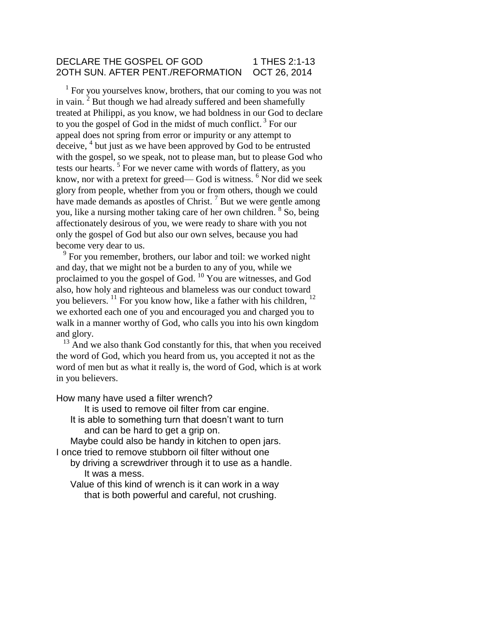### DECLARE THE GOSPEL OF GOD 1 THES 2:1-13 2OTH SUN. AFTER PENT./REFORMATION OCT 26, 2014

 $<sup>1</sup>$  For you yourselves know, brothers, that our coming to you was not</sup> in vain.  $2$  But though we had already suffered and been shamefully treated at Philippi, as you know, we had boldness in our God to declare to you the gospel of God in the midst of much conflict.<sup>3</sup> For our appeal does not spring from error or impurity or any attempt to deceive, <sup>4</sup> but just as we have been approved by God to be entrusted with the gospel, so we speak, not to please man, but to please God who tests our hearts.<sup>5</sup> For we never came with words of flattery, as you know, nor with a pretext for greed— God is witness.  $6$  Nor did we seek glory from people, whether from you or from others, though we could have made demands as apostles of Christ.<sup>7</sup> But we were gentle among you, like a nursing mother taking care of her own children. <sup>8</sup> So, being affectionately desirous of you, we were ready to share with you not only the gospel of God but also our own selves, because you had become very dear to us.

 $9^9$  For you remember, brothers, our labor and toil: we worked night and day, that we might not be a burden to any of you, while we proclaimed to you the gospel of God. <sup>10</sup> You are witnesses, and God also, how holy and righteous and blameless was our conduct toward you believers.  $^{11}$  For you know how, like a father with his children,  $^{12}$ we exhorted each one of you and encouraged you and charged you to walk in a manner worthy of God, who calls you into his own kingdom and glory.

<sup>13</sup> And we also thank God constantly for this, that when you received the word of God, which you heard from us, you accepted it not as the word of men but as what it really is, the word of God, which is at work in you believers.

How many have used a filter wrench?

It is used to remove oil filter from car engine.

It is able to something turn that doesn't want to turn and can be hard to get a grip on.

Maybe could also be handy in kitchen to open jars. I once tried to remove stubborn oil filter without one

- by driving a screwdriver through it to use as a handle. It was a mess.
- Value of this kind of wrench is it can work in a way that is both powerful and careful, not crushing.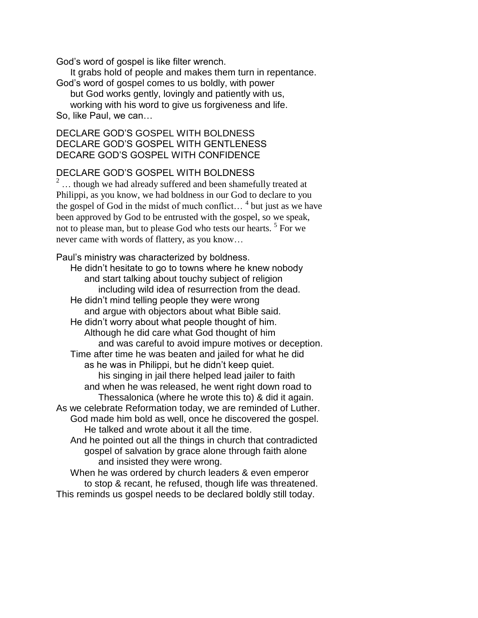God's word of gospel is like filter wrench.

It grabs hold of people and makes them turn in repentance.

God's word of gospel comes to us boldly, with power

but God works gently, lovingly and patiently with us,

working with his word to give us forgiveness and life. So, like Paul, we can…

## DECLARE GOD'S GOSPEL WITH BOLDNESS DECLARE GOD'S GOSPEL WITH GENTLENESS DECARE GOD'S GOSPEL WITH CONFIDENCE

## DECLARE GOD'S GOSPEL WITH BOLDNESS

 $^2$   $\ldots$  though we had already suffered and been shamefully treated at Philippi, as you know, we had boldness in our God to declare to you the gospel of God in the midst of much conflict...<sup>4</sup> but just as we have been approved by God to be entrusted with the gospel, so we speak, not to please man, but to please God who tests our hearts.<sup>5</sup> For we never came with words of flattery, as you know…

#### Paul's ministry was characterized by boldness.

He didn't hesitate to go to towns where he knew nobody and start talking about touchy subject of religion including wild idea of resurrection from the dead. He didn't mind telling people they were wrong and argue with objectors about what Bible said. He didn't worry about what people thought of him. Although he did care what God thought of him and was careful to avoid impure motives or deception. Time after time he was beaten and jailed for what he did as he was in Philippi, but he didn't keep quiet. his singing in jail there helped lead jailer to faith and when he was released, he went right down road to Thessalonica (where he wrote this to) & did it again. As we celebrate Reformation today, we are reminded of Luther. God made him bold as well, once he discovered the gospel. He talked and wrote about it all the time. And he pointed out all the things in church that contradicted gospel of salvation by grace alone through faith alone and insisted they were wrong. When he was ordered by church leaders & even emperor

to stop & recant, he refused, though life was threatened. This reminds us gospel needs to be declared boldly still today.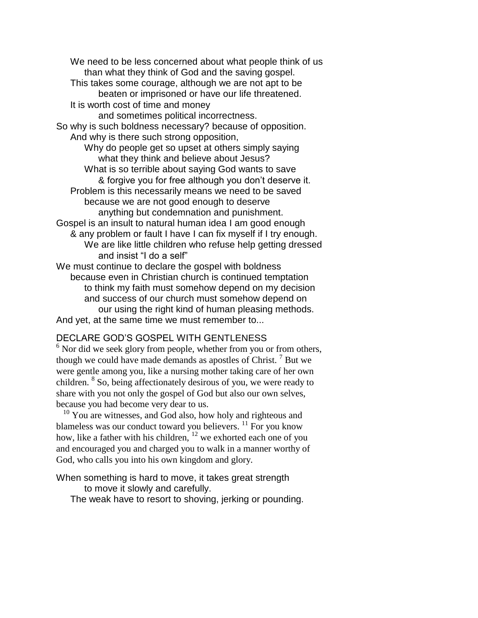We need to be less concerned about what people think of us than what they think of God and the saving gospel. This takes some courage, although we are not apt to be beaten or imprisoned or have our life threatened. It is worth cost of time and money and sometimes political incorrectness. So why is such boldness necessary? because of opposition. And why is there such strong opposition, Why do people get so upset at others simply saying what they think and believe about Jesus? What is so terrible about saying God wants to save & forgive you for free although you don't deserve it. Problem is this necessarily means we need to be saved because we are not good enough to deserve anything but condemnation and punishment. Gospel is an insult to natural human idea I am good enough & any problem or fault I have I can fix myself if I try enough. We are like little children who refuse help getting dressed and insist "I do a self" We must continue to declare the gospel with boldness because even in Christian church is continued temptation to think my faith must somehow depend on my decision and success of our church must somehow depend on our using the right kind of human pleasing methods. And yet, at the same time we must remember to...

## DECLARE GOD'S GOSPEL WITH GENTLENESS

 $6$  Nor did we seek glory from people, whether from you or from others, though we could have made demands as apostles of Christ.<sup>7</sup> But we were gentle among you, like a nursing mother taking care of her own children. <sup>8</sup> So, being affectionately desirous of you, we were ready to share with you not only the gospel of God but also our own selves, because you had become very dear to us.

 $10$  You are witnesses, and God also, how holy and righteous and blameless was our conduct toward you believers. <sup>11</sup> For you know how, like a father with his children, <sup>12</sup> we exhorted each one of you and encouraged you and charged you to walk in a manner worthy of God, who calls you into his own kingdom and glory.

When something is hard to move, it takes great strength to move it slowly and carefully.

The weak have to resort to shoving, jerking or pounding.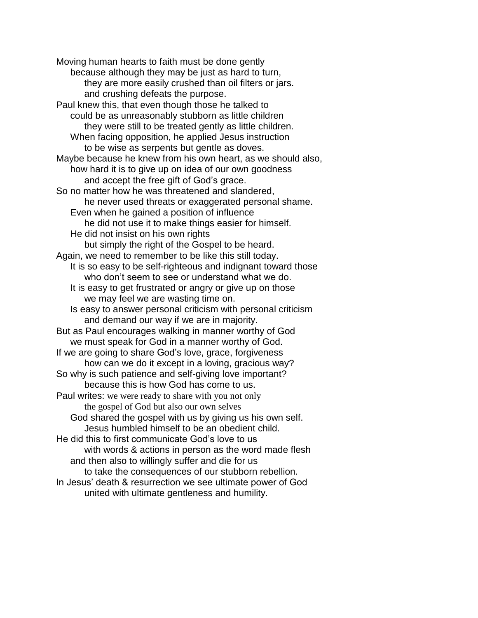Moving human hearts to faith must be done gently because although they may be just as hard to turn, they are more easily crushed than oil filters or jars. and crushing defeats the purpose. Paul knew this, that even though those he talked to could be as unreasonably stubborn as little children they were still to be treated gently as little children. When facing opposition, he applied Jesus instruction to be wise as serpents but gentle as doves. Maybe because he knew from his own heart, as we should also, how hard it is to give up on idea of our own goodness and accept the free gift of God's grace. So no matter how he was threatened and slandered, he never used threats or exaggerated personal shame. Even when he gained a position of influence he did not use it to make things easier for himself. He did not insist on his own rights but simply the right of the Gospel to be heard. Again, we need to remember to be like this still today. It is so easy to be self-righteous and indignant toward those who don't seem to see or understand what we do. It is easy to get frustrated or angry or give up on those we may feel we are wasting time on. Is easy to answer personal criticism with personal criticism and demand our way if we are in majority. But as Paul encourages walking in manner worthy of God we must speak for God in a manner worthy of God. If we are going to share God's love, grace, forgiveness how can we do it except in a loving, gracious way? So why is such patience and self-giving love important? because this is how God has come to us. Paul writes: we were ready to share with you not only the gospel of God but also our own selves God shared the gospel with us by giving us his own self. Jesus humbled himself to be an obedient child. He did this to first communicate God's love to us with words & actions in person as the word made flesh and then also to willingly suffer and die for us to take the consequences of our stubborn rebellion. In Jesus' death & resurrection we see ultimate power of God united with ultimate gentleness and humility.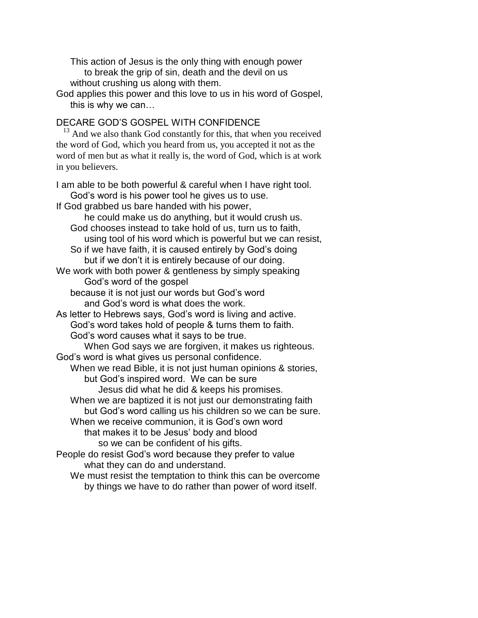This action of Jesus is the only thing with enough power to break the grip of sin, death and the devil on us without crushing us along with them.

God applies this power and this love to us in his word of Gospel, this is why we can…

# DECARE GOD'S GOSPEL WITH CONFIDENCE

 $13$  And we also thank God constantly for this, that when you received the word of God, which you heard from us, you accepted it not as the word of men but as what it really is, the word of God, which is at work in you believers.

I am able to be both powerful & careful when I have right tool. God's word is his power tool he gives us to use. If God grabbed us bare handed with his power, he could make us do anything, but it would crush us. God chooses instead to take hold of us, turn us to faith, using tool of his word which is powerful but we can resist, So if we have faith, it is caused entirely by God's doing but if we don't it is entirely because of our doing. We work with both power & gentleness by simply speaking God's word of the gospel because it is not just our words but God's word and God's word is what does the work. As letter to Hebrews says, God's word is living and active. God's word takes hold of people & turns them to faith. God's word causes what it says to be true. When God says we are forgiven, it makes us righteous. God's word is what gives us personal confidence. When we read Bible, it is not just human opinions & stories, but God's inspired word. We can be sure Jesus did what he did & keeps his promises. When we are baptized it is not just our demonstrating faith but God's word calling us his children so we can be sure. When we receive communion, it is God's own word that makes it to be Jesus' body and blood so we can be confident of his gifts. People do resist God's word because they prefer to value what they can do and understand. We must resist the temptation to think this can be overcome

by things we have to do rather than power of word itself.